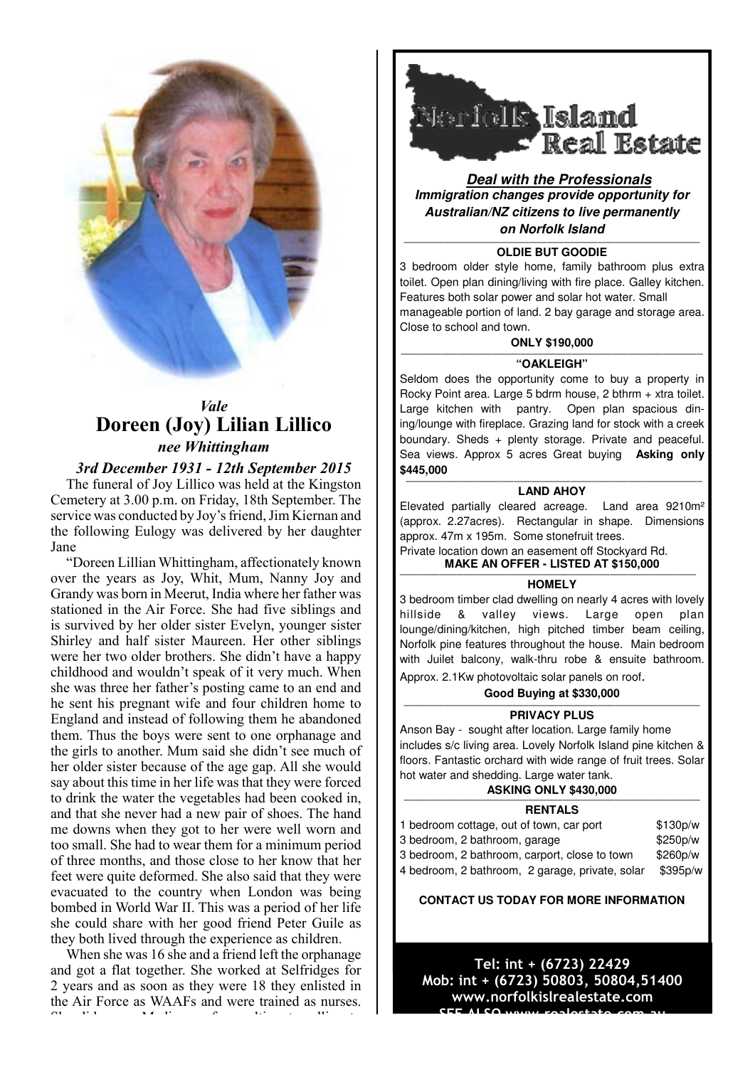

# *Vale* **Doreen (Joy) Lilian Lillico** *nee Whittingham*

### *3rd December 1931 - 12th September 2015*

The funeral of Joy Lillico was held at the Kingston Cemetery at 3.00 p.m. on Friday, 18th September. The service was conducted by Joy's friend, Jim Kiernan and the following Eulogy was delivered by her daughter Jane

"Doreen Lillian Whittingham, affectionately known over the years as Joy, Whit, Mum, Nanny Joy and Grandy was born in Meerut, India where her father was stationed in the Air Force. She had five siblings and is survived by her older sister Evelyn, younger sister Shirley and half sister Maureen. Her other siblings were her two older brothers. She didn't have a happy childhood and wouldn't speak of it very much. When she was three her father's posting came to an end and he sent his pregnant wife and four children home to England and instead of following them he abandoned them. Thus the boys were sent to one orphanage and the girls to another. Mum said she didn't see much of her older sister because of the age gap. All she would say about this time in her life was that they were forced to drink the water the vegetables had been cooked in, and that she never had a new pair of shoes. The hand me downs when they got to her were well worn and too small. She had to wear them for a minimum period of three months, and those close to her know that her feet were quite deformed. She also said that they were evacuated to the country when London was being bombed in World War II. This was a period of her life she could share with her good friend Peter Guile as they both lived through the experience as children.

When she was 16 she and a friend left the orphanage and got a flat together. She worked at Selfridges for 2 years and as soon as they were 18 they enlisted in the Air Force as WAAFs and were trained as nurses. She did many Medivacs of casualties, travelling to



**Deal with the Professionals Immigration changes provide opportunity for Australian/NZ citizens to live permanently on Norfolk Island**

#### **———————————————————————————————————————————————————— OLDIE BUT GOODIE**

3 bedroom older style home, family bathroom plus extra toilet. Open plan dining/living with fire place. Galley kitchen. Features both solar power and solar hot water. Small manageable portion of land. 2 bay garage and storage area. Close to school and town.

#### **ONLY \$190,000**

#### **"OAKLEIGH"**

Seldom does the opportunity come to buy a property in Rocky Point area. Large 5 bdrm house, 2 bthrm + xtra toilet. Large kitchen with pantry. Open plan spacious dining/lounge with fireplace. Grazing land for stock with a creek boundary. Sheds + plenty storage. Private and peaceful. Sea views. Approx 5 acres Great buying **Asking only \$445,000**

#### **———————————————————————————————————————————————————— LAND AHOY**

Elevated partially cleared acreage. Land area 9210m² (approx. 2.27acres). Rectangular in shape. Dimensions approx. 47m x 195m. Some stonefruit trees.

#### Private location down an easement off Stockyard Rd. **MAKE AN OFFER - LISTED AT \$150,000**

#### **HOMELY**

3 bedroom timber clad dwelling on nearly 4 acres with lovely hillside & valley views. Large open plan lounge/dining/kitchen, high pitched timber beam ceiling, Norfolk pine features throughout the house. Main bedroom with Juilet balcony, walk-thru robe & ensuite bathroom. Approx. 2.1Kw photovoltaic solar panels on roof.

#### **Good Buving at \$330,000**

#### **PRIVACY PLUS**

Anson Bay - sought after location. Large family home includes s/c living area. Lovely Norfolk Island pine kitchen & floors. Fantastic orchard with wide range of fruit trees. Solar hot water and shedding. Large water tank.

### **ASKING ONLY \$430,000**

#### **RENTALS**

| 1 bedroom cottage, out of town, car port        | \$130p/w |
|-------------------------------------------------|----------|
| 3 bedroom, 2 bathroom, garage                   | \$250p/w |
| 3 bedroom, 2 bathroom, carport, close to town   | \$260p/w |
| 4 bedroom, 2 bathroom, 2 garage, private, solar | \$395p/w |

#### **CONTACT US TODAY FOR MORE INFORMATION**

Tel: int + (6723) 22429 Mob: int + (6723) 50803, 50804,51400 www.norfolkislrealestate.com <u>CEE ALCO vaiai realectate cem au</u>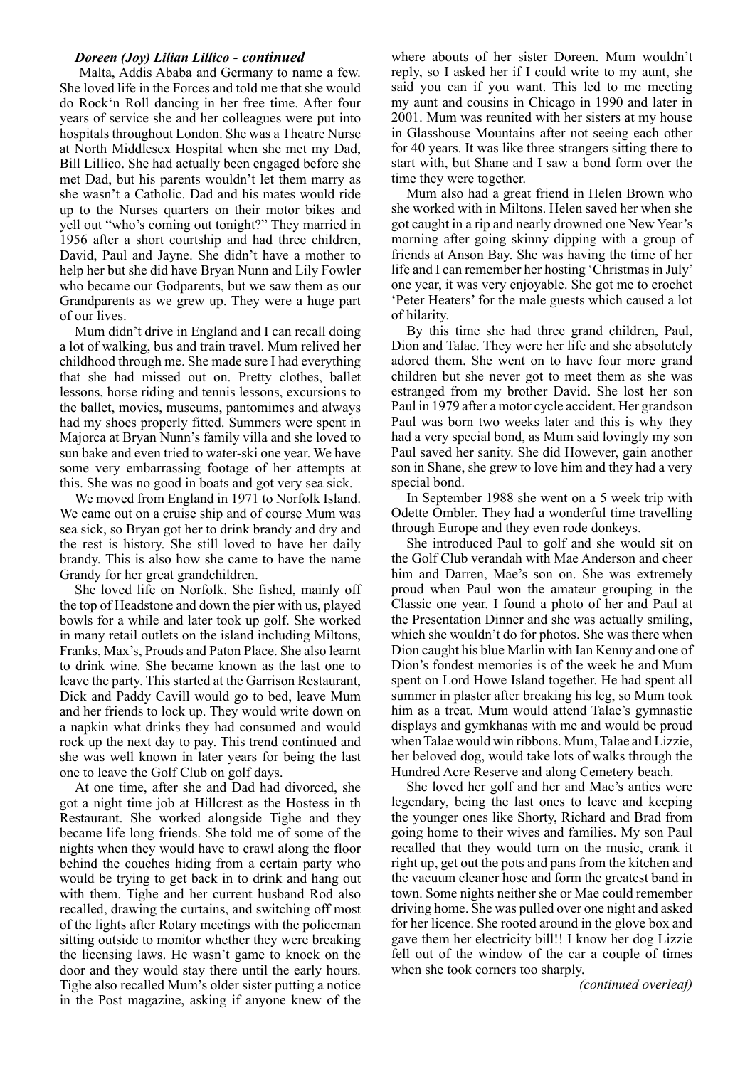#### *Doreen (Joy) Lilian Lillico - continued*

 Malta, Addis Ababa and Germany to name a few. She loved life in the Forces and told me that she would do Rock'n Roll dancing in her free time. After four years of service she and her colleagues were put into hospitals throughout London. She was a Theatre Nurse at North Middlesex Hospital when she met my Dad, Bill Lillico. She had actually been engaged before she met Dad, but his parents wouldn't let them marry as she wasn't a Catholic. Dad and his mates would ride up to the Nurses quarters on their motor bikes and yell out "who's coming out tonight?" They married in 1956 after a short courtship and had three children, David, Paul and Jayne. She didn't have a mother to help her but she did have Bryan Nunn and Lily Fowler who became our Godparents, but we saw them as our Grandparents as we grew up. They were a huge part of our lives.

Mum didn't drive in England and I can recall doing a lot of walking, bus and train travel. Mum relived her childhood through me. She made sure I had everything that she had missed out on. Pretty clothes, ballet lessons, horse riding and tennis lessons, excursions to the ballet, movies, museums, pantomimes and always had my shoes properly fitted. Summers were spent in Majorca at Bryan Nunn's family villa and she loved to sun bake and even tried to water-ski one year. We have some very embarrassing footage of her attempts at this. She was no good in boats and got very sea sick.

We moved from England in 1971 to Norfolk Island. We came out on a cruise ship and of course Mum was sea sick, so Bryan got her to drink brandy and dry and the rest is history. She still loved to have her daily brandy. This is also how she came to have the name Grandy for her great grandchildren.

She loved life on Norfolk. She fished, mainly off the top of Headstone and down the pier with us, played bowls for a while and later took up golf. She worked in many retail outlets on the island including Miltons, Franks, Max's, Prouds and Paton Place. She also learnt to drink wine. She became known as the last one to leave the party. This started at the Garrison Restaurant, Dick and Paddy Cavill would go to bed, leave Mum and her friends to lock up. They would write down on a napkin what drinks they had consumed and would rock up the next day to pay. This trend continued and she was well known in later years for being the last one to leave the Golf Club on golf days.

At one time, after she and Dad had divorced, she got a night time job at Hillcrest as the Hostess in th Restaurant. She worked alongside Tighe and they became life long friends. She told me of some of the nights when they would have to crawl along the floor behind the couches hiding from a certain party who would be trying to get back in to drink and hang out with them. Tighe and her current husband Rod also recalled, drawing the curtains, and switching off most of the lights after Rotary meetings with the policeman sitting outside to monitor whether they were breaking the licensing laws. He wasn't game to knock on the door and they would stay there until the early hours. Tighe also recalled Mum's older sister putting a notice in the Post magazine, asking if anyone knew of the where abouts of her sister Doreen. Mum wouldn't reply, so I asked her if I could write to my aunt, she said you can if you want. This led to me meeting my aunt and cousins in Chicago in 1990 and later in 2001. Mum was reunited with her sisters at my house in Glasshouse Mountains after not seeing each other for 40 years. It was like three strangers sitting there to start with, but Shane and I saw a bond form over the time they were together.

Mum also had a great friend in Helen Brown who she worked with in Miltons. Helen saved her when she got caught in a rip and nearly drowned one New Year's morning after going skinny dipping with a group of friends at Anson Bay. She was having the time of her life and I can remember her hosting 'Christmas in July' one year, it was very enjoyable. She got me to crochet 'Peter Heaters' for the male guests which caused a lot of hilarity.

By this time she had three grand children, Paul, Dion and Talae. They were her life and she absolutely adored them. She went on to have four more grand children but she never got to meet them as she was estranged from my brother David. She lost her son Paul in 1979 after a motor cycle accident. Her grandson Paul was born two weeks later and this is why they had a very special bond, as Mum said lovingly my son Paul saved her sanity. She did However, gain another son in Shane, she grew to love him and they had a very special bond.

In September 1988 she went on a 5 week trip with Odette Ombler. They had a wonderful time travelling through Europe and they even rode donkeys.

She introduced Paul to golf and she would sit on the Golf Club verandah with Mae Anderson and cheer him and Darren, Mae's son on. She was extremely proud when Paul won the amateur grouping in the Classic one year. I found a photo of her and Paul at the Presentation Dinner and she was actually smiling, which she wouldn't do for photos. She was there when Dion caught his blue Marlin with Ian Kenny and one of Dion's fondest memories is of the week he and Mum spent on Lord Howe Island together. He had spent all summer in plaster after breaking his leg, so Mum took him as a treat. Mum would attend Talae's gymnastic displays and gymkhanas with me and would be proud when Talae would win ribbons. Mum, Talae and Lizzie, her beloved dog, would take lots of walks through the Hundred Acre Reserve and along Cemetery beach.

She loved her golf and her and Mae's antics were legendary, being the last ones to leave and keeping the younger ones like Shorty, Richard and Brad from going home to their wives and families. My son Paul recalled that they would turn on the music, crank it right up, get out the pots and pans from the kitchen and the vacuum cleaner hose and form the greatest band in town. Some nights neither she or Mae could remember driving home. She was pulled over one night and asked for her licence. She rooted around in the glove box and gave them her electricity bill!! I know her dog Lizzie fell out of the window of the car a couple of times when she took corners too sharply.

*(continued overleaf)*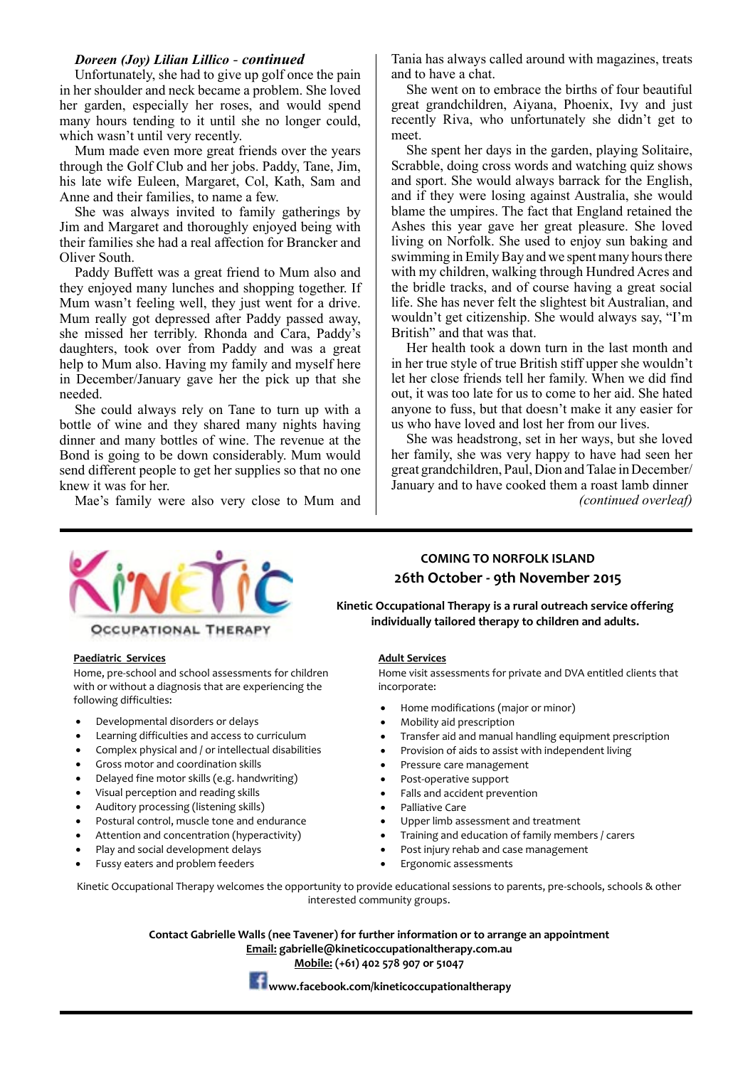#### *Doreen (Joy) Lilian Lillico - continued*

Unfortunately, she had to give up golf once the pain in her shoulder and neck became a problem. She loved her garden, especially her roses, and would spend many hours tending to it until she no longer could, which wasn't until very recently.

Mum made even more great friends over the years through the Golf Club and her jobs. Paddy, Tane, Jim, his late wife Euleen, Margaret, Col, Kath, Sam and Anne and their families, to name a few.

She was always invited to family gatherings by Jim and Margaret and thoroughly enjoyed being with their families she had a real affection for Brancker and Oliver South.

Paddy Buffett was a great friend to Mum also and they enjoyed many lunches and shopping together. If Mum wasn't feeling well, they just went for a drive. Mum really got depressed after Paddy passed away, she missed her terribly. Rhonda and Cara, Paddy's daughters, took over from Paddy and was a great help to Mum also. Having my family and myself here in December/January gave her the pick up that she needed.

She could always rely on Tane to turn up with a bottle of wine and they shared many nights having dinner and many bottles of wine. The revenue at the Bond is going to be down considerably. Mum would send different people to get her supplies so that no one knew it was for her.

Mae's family were also very close to Mum and

Tania has always called around with magazines, treats and to have a chat.

She went on to embrace the births of four beautiful great grandchildren, Aiyana, Phoenix, Ivy and just recently Riva, who unfortunately she didn't get to meet.

She spent her days in the garden, playing Solitaire, Scrabble, doing cross words and watching quiz shows and sport. She would always barrack for the English, and if they were losing against Australia, she would blame the umpires. The fact that England retained the Ashes this year gave her great pleasure. She loved living on Norfolk. She used to enjoy sun baking and swimming in Emily Bay and we spent many hours there with my children, walking through Hundred Acres and the bridle tracks, and of course having a great social life. She has never felt the slightest bit Australian, and wouldn't get citizenship. She would always say, "I'm British" and that was that.

Her health took a down turn in the last month and in her true style of true British stiff upper she wouldn't let her close friends tell her family. When we did find out, it was too late for us to come to her aid. She hated anyone to fuss, but that doesn't make it any easier for us who have loved and lost her from our lives.

She was headstrong, set in her ways, but she loved her family, she was very happy to have had seen her great grandchildren, Paul, Dion and Talae in December/ January and to have cooked them a roast lamb dinner *(continued overleaf)*



#### **Paediatric Services**

Home, pre-school and school assessments for children with or without a diagnosis that are experiencing the following difficulties:

- Developmental disorders or delays
- Learning difficulties and access to curriculum
- Complex physical and / or intellectual disabilities
- Gross motor and coordination skills
- Delayed fine motor skills (e.g. handwriting)
- Visual perception and reading skills
- Auditory processing (listening skills)
- Postural control, muscle tone and endurance
- Attention and concentration (hyperactivity)
- Play and social development delays
- Fussy eaters and problem feeders

**26th October - 9th November 2015**

**COMING TO NORFOLK ISLAND**

**Kinetic Occupational Therapy is a rural outreach service offering individually tailored therapy to children and adults.**

#### **Adult Services**

Home visit assessments for private and DVA entitled clients that incorporate:

- Home modifications (major or minor)
- Mobility aid prescription
- Transfer aid and manual handling equipment prescription
- Provision of aids to assist with independent living
- Pressure care management
- Post-operative support
- Falls and accident prevention
- Palliative Care
- Upper limb assessment and treatment
- Training and education of family members / carers
- Post injury rehab and case management
- Ergonomic assessments

Kinetic Occupational Therapy welcomes the opportunity to provide educational sessions to parents, pre-schools, schools & other interested community groups.

> **Contact Gabrielle Walls (nee Tavener) for further information or to arrange an appointment Email: gabrielle@kineticoccupationaltherapy.com.au Mobile: (+61) 402 578 907 or 51047**



**www.facebook.com/kineticoccupationaltherapy**